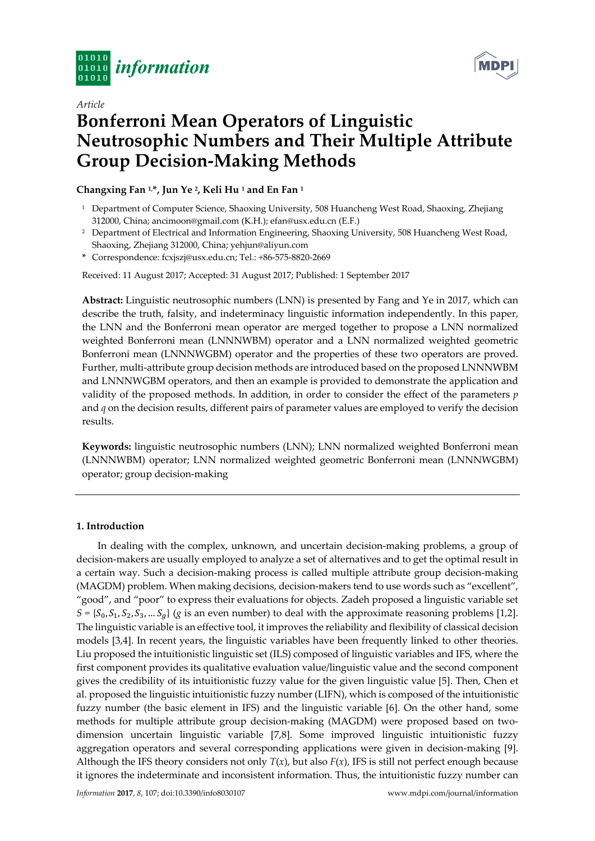



# *Article*  **Bonferroni Mean Operators of Linguistic Neutrosophic Numbers and Their Multiple Attribute Group Decision-Making Methods**

**Changxing Fan 1,\*, Jun Ye 2, Keli Hu 1 and En Fan 1**

- <sup>1</sup> Department of Computer Science, Shaoxing University, 508 Huancheng West Road, Shaoxing, Zhejiang 312000, China; ancimoon@gmail.com (K.H.); efan@usx.edu.cn (E.F.)
- <sup>2</sup> Department of Electrical and Information Engineering, Shaoxing University, 508 Huancheng West Road, Shaoxing, Zhejiang 312000, China; yehjun@aliyun.com
- **\*** Correspondence: fcxjszj@usx.edu.cn; Tel.: +86-575-8820-2669

Received: 11 August 2017; Accepted: 31 August 2017; Published: 1 September 2017

**Abstract:** Linguistic neutrosophic numbers (LNN) is presented by Fang and Ye in 2017, which can describe the truth, falsity, and indeterminacy linguistic information independently. In this paper, the LNN and the Bonferroni mean operator are merged together to propose a LNN normalized weighted Bonferroni mean (LNNNWBM) operator and a LNN normalized weighted geometric Bonferroni mean (LNNNWGBM) operator and the properties of these two operators are proved. Further, multi-attribute group decision methods are introduced based on the proposed LNNNWBM and LNNNWGBM operators, and then an example is provided to demonstrate the application and validity of the proposed methods. In addition, in order to consider the effect of the parameters *p* and *q* on the decision results, different pairs of parameter values are employed to verify the decision results.

**Keywords:** linguistic neutrosophic numbers (LNN); LNN normalized weighted Bonferroni mean (LNNNWBM) operator; LNN normalized weighted geometric Bonferroni mean (LNNNWGBM) operator; group decision-making

# **1. Introduction**

In dealing with the complex, unknown, and uncertain decision-making problems, a group of decision-makers are usually employed to analyze a set of alternatives and to get the optimal result in a certain way. Such a decision-making process is called multiple attribute group decision-making (MAGDM) problem. When making decisions, decision-makers tend to use words such as "excellent", "good", and "poor" to express their evaluations for objects. Zadeh proposed a linguistic variable set  $S = \{S_0, S_1, S_2, S_3, \dots S_d\}$  (*g* is an even number) to deal with the approximate reasoning problems [1,2]. The linguistic variable is an effective tool, it improves the reliability and flexibility of classical decision models [3,4]. In recent years, the linguistic variables have been frequently linked to other theories. Liu proposed the intuitionistic linguistic set (ILS) composed of linguistic variables and IFS, where the first component provides its qualitative evaluation value/linguistic value and the second component gives the credibility of its intuitionistic fuzzy value for the given linguistic value [5]. Then, Chen et al. proposed the linguistic intuitionistic fuzzy number (LIFN), which is composed of the intuitionistic fuzzy number (the basic element in IFS) and the linguistic variable [6]. On the other hand, some methods for multiple attribute group decision-making (MAGDM) were proposed based on twodimension uncertain linguistic variable [7,8]. Some improved linguistic intuitionistic fuzzy aggregation operators and several corresponding applications were given in decision-making [9]. Although the IFS theory considers not only  $T(x)$ , but also  $F(x)$ , IFS is still not perfect enough because it ignores the indeterminate and inconsistent information. Thus, the intuitionistic fuzzy number can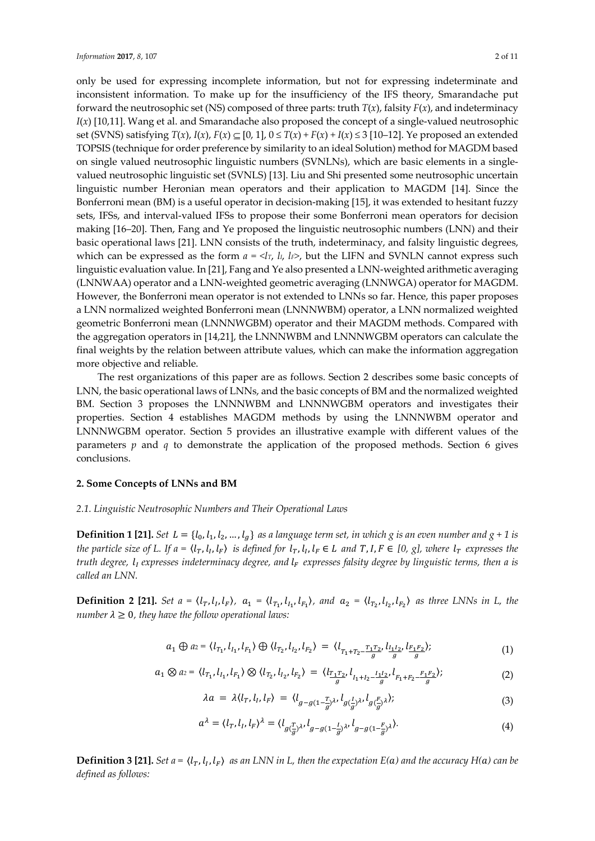only be used for expressing incomplete information, but not for expressing indeterminate and inconsistent information. To make up for the insufficiency of the IFS theory, Smarandache put forward the neutrosophic set (NS) composed of three parts: truth  $T(x)$ , falsity  $F(x)$ , and indeterminacy *I*(*x*) [10,11]. Wang et al. and Smarandache also proposed the concept of a single-valued neutrosophic set (SVNS) satisfying  $T(x)$ ,  $I(x)$ ,  $F(x) \subseteq [0, 1]$ ,  $0 \le T(x) + F(x) + I(x) \le 3$  [10–12]. Ye proposed an extended TOPSIS (technique for order preference by similarity to an ideal Solution) method for MAGDM based on single valued neutrosophic linguistic numbers (SVNLNs), which are basic elements in a singlevalued neutrosophic linguistic set (SVNLS) [13]. Liu and Shi presented some neutrosophic uncertain linguistic number Heronian mean operators and their application to MAGDM [14]. Since the Bonferroni mean (BM) is a useful operator in decision-making [15], it was extended to hesitant fuzzy sets, IFSs, and interval-valued IFSs to propose their some Bonferroni mean operators for decision making [16–20]. Then, Fang and Ye proposed the linguistic neutrosophic numbers (LNN) and their basic operational laws [21]. LNN consists of the truth, indeterminacy, and falsity linguistic degrees, which can be expressed as the form  $a = \langle I_T, I_L, I_F \rangle$ , but the LIFN and SVNLN cannot express such linguistic evaluation value. In [21], Fang and Ye also presented a LNN-weighted arithmetic averaging (LNNWAA) operator and a LNN-weighted geometric averaging (LNNWGA) operator for MAGDM. However, the Bonferroni mean operator is not extended to LNNs so far. Hence, this paper proposes a LNN normalized weighted Bonferroni mean (LNNNWBM) operator, a LNN normalized weighted geometric Bonferroni mean (LNNNWGBM) operator and their MAGDM methods. Compared with the aggregation operators in [14,21], the LNNNWBM and LNNNWGBM operators can calculate the final weights by the relation between attribute values, which can make the information aggregation more objective and reliable.

The rest organizations of this paper are as follows. Section 2 describes some basic concepts of LNN, the basic operational laws of LNNs, and the basic concepts of BM and the normalized weighted BM. Section 3 proposes the LNNNWBM and LNNNWGBM operators and investigates their properties. Section 4 establishes MAGDM methods by using the LNNNWBM operator and LNNNWGBM operator. Section 5 provides an illustrative example with different values of the parameters *p* and *q* to demonstrate the application of the proposed methods. Section 6 gives conclusions.

## **2. Some Concepts of LNNs and BM**

## *2.1. Linguistic Neutrosophic Numbers and Their Operational Laws*

**Definition 1 [21].** *Set L* = { $l_0$ ,  $l_1$ ,  $l_2$ , ...,  $l_g$ } *as a language term set, in which g is an even number and g + 1 is the particle size of L. If a =*  $\langle l_T, l_I, l_F \rangle$  *is defined for*  $l_T, l_I, l_F \in L$  and  $T, I, F \in [0, g]$ , where  $l_T$  expresses the *truth degree,*  $l_i$  *expresses indeterminacy degree, and*  $l_F$  *expresses falsity degree by linguistic terms, then a is called an LNN.*

**Definition 2 [21].** *Set*  $a = \langle l_T, l_I, l_F \rangle$ ,  $a_1 = \langle l_{T_1}, l_{I_1}, l_{F_1} \rangle$ , and  $a_2 = \langle l_{T_2}, l_{I_2}, l_{F_2} \rangle$  as three LNNs in L, the *number*  $\lambda \geq 0$ *, they have the follow operational laws:* 

$$
a_1 \oplus a_2 = \langle l_{T_1}, l_{I_1}, l_{F_1} \rangle \oplus \langle l_{T_2}, l_{I_2}, l_{F_2} \rangle = \langle l_{T_1 + T_2 - \frac{T_1 T_2}{g}}, l_{\frac{I_1 I_2}{g}}, l_{\frac{F_1 F_2}{g}} \rangle; \tag{1}
$$

$$
a_1 \otimes a_2 = \langle l_{T_1}, l_{I_1}, l_{F_1} \rangle \otimes \langle l_{T_2}, l_{I_2}, l_{F_2} \rangle = \langle l_{\frac{T_1 T_2}{g}}, l_{I_1 + I_2 - \frac{I_1 I_2}{g}}, l_{F_1 + F_2 - \frac{F_1 F_2}{g}} \rangle; \tag{2}
$$

$$
\lambda a = \lambda \langle l_T, l_I, l_F \rangle = \langle l_{g-g(1-\frac{T}{g})^{\lambda}}, l_{g(\frac{L}{g})^{\lambda}}, l_{g(\frac{F}{g})^{\lambda}} \rangle; \tag{3}
$$

$$
a^{\lambda} = \langle l_T, l_I, l_F \rangle^{\lambda} = \langle l_{g(\frac{T}{g})^{\lambda}}, l_{g-g(1-\frac{I}{g})^{\lambda}}, l_{g-g(1-\frac{F}{g})^{\lambda}} \rangle. \tag{4}
$$

**Definition 3 [21].** *Set a* =  $\langle l_T, l_l, l_F \rangle$  *as an LNN in L, then the expectation E(a) and the accuracy H(a) can be defined as follows:*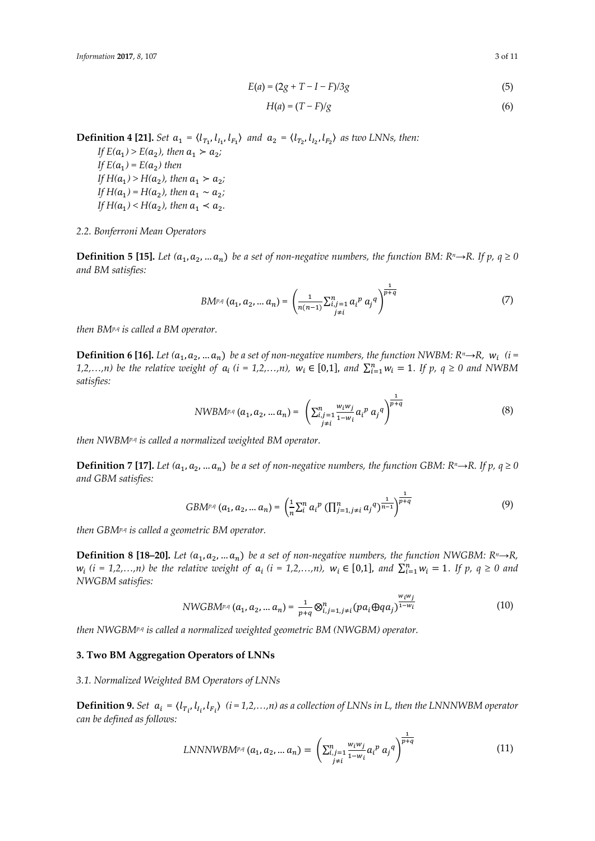$$
E(a) = (2g + T - I - F)/3g
$$
 (5)

$$
H(a) = (T - F)/g \tag{6}
$$

**Definition 4 [21].** *Set*  $a_1 = \langle l_{T_1}, l_{I_1}, l_{F_1} \rangle$  *and*  $a_2 = \langle l_{T_2}, l_{I_2}, l_{F_2} \rangle$  *as two LNNs, then:* 

*If*  $E(a_1) > E(a_2)$ , then  $a_1 > a_2$ ; *If*  $E(a_1) = E(a_2)$  then *If*  $H(a_1) > H(a_2)$ , then  $a_1 > a_2$ ; *If*  $H(a_1) = H(a_2)$ , then  $a_1 \sim a_2$ ; *If*  $H(a_1) < H(a_2)$ , then  $a_1 < a_2$ .

## *2.2. Bonferroni Mean Operators*

**Definition 5 [15].** Let  $(a_1, a_2, ... a_n)$  be a set of non-negative numbers, the function BM: R<sup>n</sup>→R. If p,  $q \ge 0$ *and BM satisfies:*

$$
BM^{p,q} (a_1, a_2, ... a_n) = \left( \frac{1}{n(n-1)} \sum_{\substack{i,j=1 \ i \neq i}}^n a_i^p a_j^q \right)^{\frac{1}{p+q}}
$$
(7)

*then BMp,q is called a BM operator.* 

**Definition 6 [16].** Let  $(a_1, a_2, ... a_n)$  be a set of non-negative numbers, the function NWBM:  $R^n \rightarrow R$ ,  $w_i$  (i = 1,2,...,n) be the relative weight of  $a_i$  (i = 1,2,...,n),  $w_i \in [0,1]$ , and  $\sum_{i=1}^n w_i = 1$ . If p,  $q \ge 0$  and NWBM *satisfies:* 

$$
NWBM^{p,q} (a_1, a_2, ... a_n) = \left( \sum_{\substack{i,j=1 \ i \neq i}}^n \frac{w_i w_j}{1 - w_i} a_i^p a_j^q \right)^{\frac{1}{p+q}}
$$
(8)

*then NWBMp,q is called a normalized weighted BM operator.* 

**Definition 7 [17].** Let  $(a_1, a_2, ... a_n)$  be a set of non-negative numbers, the function GBM: R<sup>n</sup>→R. If p,  $q \ge 0$ *and GBM satisfies:* 

$$
GBM^{p,q}(a_1, a_2, ... a_n) = \left(\frac{1}{n}\sum_{i=1}^{n} a_i^p \left(\prod_{j=1, j\neq i}^{n} a_j^q\right)^{\frac{1}{n-1}}\right)^{\frac{1}{p+q}}
$$
(9)

*then GBMp,q is called a geometric BM operator.* 

**Definition 8 [18–20].** Let  $(a_1, a_2, ... a_n)$  be a set of non-negative numbers, the function NWGBM:  $R^n \rightarrow R$ ,  $w_i$  (*i* = 1,2,...,n) be the relative weight of  $a_i$  (*i* = 1,2,...,n),  $w_i \in [0,1]$ , and  $\sum_{i=1}^{n} w_i = 1$ . If  $p$ ,  $q \ge 0$  and *NWGBM satisfies:* 

NWGBM<sup>p,q</sup> 
$$
(a_1, a_2, ... a_n) = \frac{1}{p+q} \otimes_{i,j=1,j\neq i}^n (pa_i \oplus qq_j)^{\frac{w_i w_j}{1-w_i}}
$$
 (10)

*then NWGBMp,q is called a normalized weighted geometric BM (NWGBM) operator.* 

## **3. Two BM Aggregation Operators of LNNs**

*3.1. Normalized Weighted BM Operators of LNNs* 

**Definition 9.** Set  $a_i = \langle l_{T_i}, l_{I_i}, l_{F_i} \rangle$  ( $i = 1, 2, ..., n$ ) as a collection of LNNs in L, then the LNNNWBM operator *can be defined as follows:* 

$$
LNNNWBM^{p,q}(a_1, a_2, ... a_n) = \left(\sum_{\substack{i,j=1 \ i \neq i}}^n \frac{w_i w_j}{1 - w_i} a_i^p a_j^q\right)^{\frac{1}{p+q}}
$$
(11)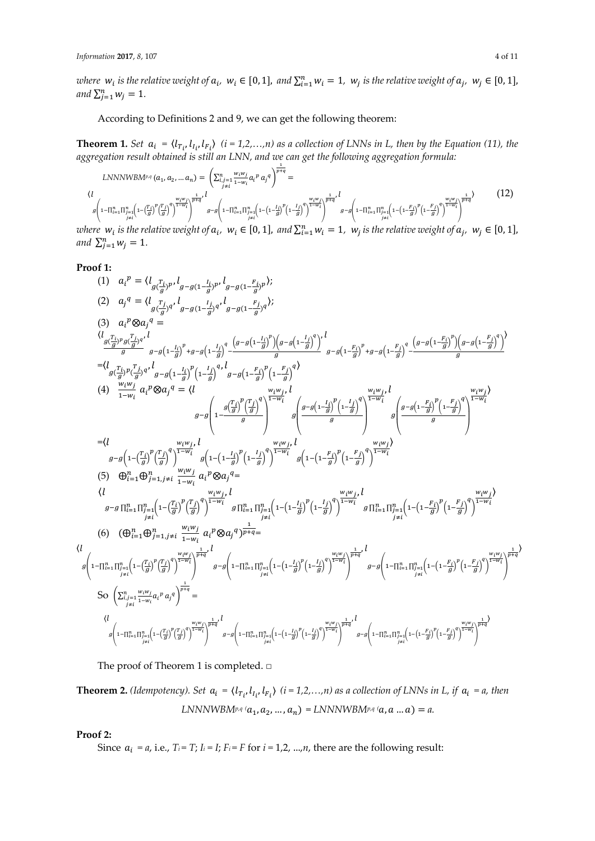where  $w_i$  is the relative weight of  $a_i$ ,  $w_i \in [0, 1]$ , and  $\sum_{i=1}^n w_i = 1$ ,  $w_j$  is the relative weight of  $a_j$ ,  $w_j \in [0, 1]$ , and  $\sum_{j=1}^{n} w_j = 1$ .

According to Definitions 2 and 9, we can get the following theorem:

**Theorem 1.** Set  $a_i = \langle l_{T_i}, l_{I_i}, l_{F_i} \rangle$  (*i* = 1,2,...,n) as a collection of LNNs in L, then by the Equation (11), the *aggregation result obtained is still an LNN, and we can get the following aggregation formula:*  భ

$$
LNNNWBM^{p,q}(a_1, a_2, ... a_n) = \left(\sum_{\substack{i,j=1 \ i \neq i}}^n \frac{w_i w_j}{1 - w_i} a_i^p a_j^q\right)^{\frac{1}{p+q}} =
$$
\n
$$
\langle l \atop g\left(1 - \prod_{\substack{i=1 \ i \neq i}}^n \prod_{\substack{j=1 \ j \neq i}}^n \frac{w_i w_j}{1 - w_i}\right)^{\frac{1}{p+q}} l \right) g - g\left(1 - \prod_{\substack{i=1 \ i \neq i}}^n \prod_{\substack{j=1 \ j \neq i}}^n \left(1 - \left(1 - \frac{l_i}{g}\right)^p \left(1 - \frac{l_j}{g}\right)^q\right)^{\frac{1}{1 - w_i}}\right)^{\frac{1}{p+q}} g - g\left(1 - \prod_{\substack{i=1 \ j \neq i}}^n \prod_{\substack{j=1 \ j \neq i}}^n \left(1 - \left(1 - \frac{F_i}{g}\right)^p \left(1 - \frac{F_j}{g}\right)^q\right)^{\frac{1}{1 - w_i}}\right)^{\frac{1}{p+q}}\right) \tag{12}
$$

where  $w_i$  is the relative weight of  $a_i$ ,  $w_i \in [0, 1]$ , and  $\sum_{i=1}^n w_i = 1$ ,  $w_j$  is the relative weight of  $a_j$ ,  $w_j \in [0, 1]$ , and  $\sum_{j=1}^{n} w_j = 1$ .

# **Proof 1:**

(1) 
$$
a_i^p = (l_{g(\frac{T_i}{g})p}, l_{g-g(1-\frac{L_i}{g})p}, l_{g-g(1-\frac{L_i}{g})p})
$$
  
\n(2)  $a_j^q = (l_{g(\frac{T_i}{g})q}, l_{g-g(1-\frac{L_i}{g})q}, l_{g-g(1-\frac{L_i}{g})q})$   
\n(3)  $a_i^p \otimes a_j^q =$   
\n
$$
\frac{(l_{g(\frac{T_i}{g})p, g(\frac{T_i}{g})q}, l_{g-g(1-\frac{L_i}{g})p}, l_{g-g(1-\frac{L_i}{g})p})}{q - g(1-\frac{L_i}{g})^p (1-\frac{L_i}{g})^q (1-\frac{L_i}{g})^q (1-\frac{L_i}{g})^q (1-\frac{L_i}{g})^q (1-\frac{L_i}{g})^q (1-\frac{L_i}{g})^q (1-\frac{L_i}{g})^q (1-\frac{L_i}{g})^q (1-\frac{L_i}{g})^q (1-\frac{L_i}{g})^q (1-\frac{L_i}{g})^q (1-\frac{L_i}{g})^q (1-\frac{L_i}{g})^q (1-\frac{L_i}{g})^q (1-\frac{L_i}{g})^q (1-\frac{L_i}{g})^q (1-\frac{L_i}{g})^q (1-\frac{L_i}{g})^q (1-\frac{L_i}{g})^q (1-\frac{L_i}{g})^q (1-\frac{L_i}{g})^q (1-\frac{L_i}{g})^q (1-\frac{L_i}{g})^q (1-\frac{L_i}{g})^q (1-\frac{L_i}{g})^q (1-\frac{L_i}{g})^q (1-\frac{L_i}{g})^q (1-\frac{L_i}{g})^q (1-\frac{L_i}{g})^q (1-\frac{L_i}{g})^q (1-\frac{L_i}{g})^q (1-\frac{L_i}{g})^q (1-\frac{L_i}{g})^q (1-\frac{L_i}{g})^q (1-\frac{L_i}{g})^q (1-\frac{L_i}{g})^q (1-\frac{L_i}{g})^q (1-\frac{L_i}{g})^q (1-\frac{L_i}{g})^q (1-\frac{L_i}{g})^q (1-\frac{L_i}{g})^q (1-\frac{L_i}{g})^q (1-\frac{L_i}{g})^q (1-\frac{L_i}{g})^q (1-\frac{L_i}{g})^q (1
$$

The proof of Theorem 1 is completed. □

**Theorem 2.** *(Idempotency). Set*  $a_i = \langle l_{T_i}, l_{I_i}, l_{F_i} \rangle$  *(i = 1,2,...,n)* as a collection of LNNs in L, if  $a_i = a$ , then *LNNNWBM<sup>p,q</sup>*  $(a_1, a_2, ..., a_n) =$ *LNNNWBM<sup>p,q</sup>*  $(a, a ... a) = a$ .

**Proof 2:** 

 $\langle l$ 

Since  $a_i = a$ , i.e.,  $T_i = T$ ;  $I_i = I$ ;  $F_i = F$  for  $i = 1, 2, ..., n$ , there are the following result: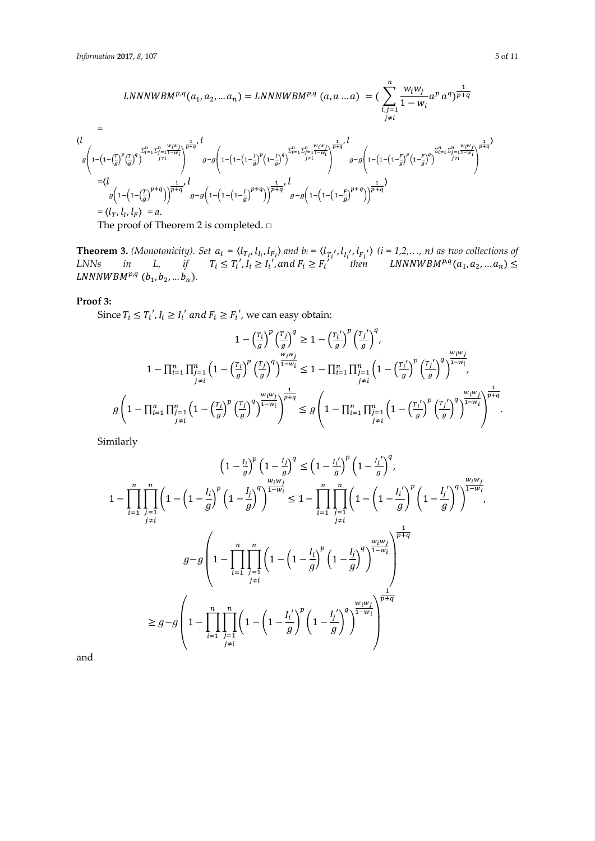$$
LNNNWBM^{p,q}(a_1, a_2, ... a_n) = LNNNWBM^{p,q}(a, a ... a) = \left(\sum_{i,j=1}^{n} \frac{w_i w_j}{1 - w_i} a^p a^q \right)^{\frac{1}{p+q}}
$$
\n
$$
= \frac{\left(\frac{1}{1 - \left(1 - \left(\frac{T}{g}\right)^p \left(\frac{T}{g}\right)^q\right)^{\frac{1}{p+q}}\right)^{\frac{1}{p+q}}}{\left(\frac{1}{1 - \left(1 - \left(\frac{T}{g}\right)^p \left(\frac{T}{g}\right)^q\right)^{\frac{1}{p+q}}}{\frac{1}{1 - w_i}}\right)^{\frac{1}{p+q}}}
$$
\n
$$
= \frac{\left(\frac{1}{1 - \left(1 - \left(\frac{T}{g}\right)^p \left(\frac{T}{g}\right)^q\right)^{\frac{1}{p+q}}\right)^{\frac{1}{p+q}}}{\left(\frac{1}{1 - \left(1 - \left(\frac{T}{g}\right)^p \left(\frac{T}{g}\right)^q\right)^{\frac{1}{p+q}}}{\frac{1}{1 - w_i}}\right)^{\frac{1}{p+q}}}
$$
\n
$$
= \left(\frac{1}{1 - \left(1 - \left(\frac{T}{g}\right)^{p+q}\right)\right)^{\frac{1}{p+q}}}, \frac{1}{1 - \left(1 - \left(1 - \frac{T}{g}\right)^p \left(\frac{T}{g}\right)^{q+q}\right)^{\frac{1}{p+q}}}
$$
\n
$$
= \left(\frac{1}{1 - \left(1 - \left(\frac{T}{g}\right)^{p+q}\right)\right)^{\frac{1}{p+q}}}, \frac{1}{1 - \left(1 - \left(1 - \frac{T}{g}\right)^{p+q}\right)^{\frac{1}{p+q}}}
$$
\n
$$
= \left(\frac{1}{1 - \left(1 - \left(\frac{T}{g}\right)^{p+q}\right)\right)^{\frac{1}{p+q}}}, \frac{1}{1 - \left(1 - \left(1 - \frac{T}{g}\right)^{p+q}\right)^{\frac{1}{p+q}}}
$$
\n
$$
= \left(\frac{1}{1 - \left(1 - \left(\frac{T}{g}\right)^p\right)^{p+q}}\right)^{\frac{1}{p+q}}.
$$

The proof of Theorem 2 is completed. □

**Theorem 3.** *(Monotonicity). Set*  $a_i = \langle l_{T_i}, l_{I_i}, l_{F_i} \rangle$  and  $b_i = \langle l_{T_i'}, l_{I_i'}, l_{F_i'} \rangle$   $(i = 1, 2, ..., n)$  as two collections of  $LNNs$  *in*  $L,$  *if*  $T_i \leq T'_i, I_i \geq I'_i,$  and  $F_i \geq F'_i$  then  $LNNNWBM^{p,q}(a_1, a_2, ... a_n) \leq$  $LNNNWBM^{p,q} (b_1, b_2, ... b_n).$ 

# **Proof 3:**

Since  $T_i \leq T_i'$ ,  $I_i \geq I_i'$  and  $F_i \geq F_i'$ , we can easy obtain:

$$
1 - \left(\frac{r_i}{g}\right)^p \left(\frac{r_j}{g}\right)^q \ge 1 - \left(\frac{r_i}{g}\right)^p \left(\frac{r_j}{g}\right)^q,
$$
  

$$
1 - \prod_{\substack{i=1 \\ j \neq i}}^n \prod_{\substack{j=1 \\ j \neq i}}^n \left(1 - \left(\frac{r_i}{g}\right)^p \left(\frac{r_j}{g}\right)^q\right)^{\frac{w_i w_j}{1 - w_i}} \le 1 - \prod_{\substack{i=1 \\ j \neq i}}^n \prod_{\substack{j=1 \\ j \neq i}}^n \left(1 - \left(\frac{r_i}{g}\right)^p \left(\frac{r_j}{g}\right)^q\right)^{\frac{w_i w_j}{1 - w_i}}
$$
  

$$
g\left(1 - \prod_{i=1}^n \prod_{\substack{j=1 \\ j \neq i}}^n \left(1 - \left(\frac{r_i}{g}\right)^p \left(\frac{r_j}{g}\right)^q\right)^{\frac{w_i w_j}{1 - w_i}}\right)^{\frac{1}{p + q}} \le g\left(1 - \prod_{i=1}^n \prod_{\substack{j=1 \\ j \neq i}}^n \left(1 - \left(\frac{r_i}{g}\right)^p \left(\frac{r_j}{g}\right)^q\right)^{\frac{w_i w_j}{1 - w_i}}\right)^{\frac{1}{p + q}}.
$$

Similarly

$$
\left(1 - \frac{l_i}{g}\right)^p \left(1 - \frac{l_j}{g}\right)^q \leq \left(1 - \frac{l_i'}{g}\right)^p \left(1 - \frac{l_j'}{g}\right)^q,
$$
\n
$$
1 - \prod_{i=1}^n \prod_{j=1}^n \left(1 - \left(1 - \frac{l_i}{g}\right)^p \left(1 - \frac{l_j}{g}\right)^q\right)^{\frac{W_i W_j}{1 - W_i}} \leq 1 - \prod_{i=1}^n \prod_{j=1}^n \left(1 - \left(1 - \frac{l_i'}{g}\right)^p \left(1 - \frac{l_j'}{g}\right)^q\right)^{\frac{W_i W_j}{1 - W_i}},
$$
\n
$$
g - g \left(1 - \prod_{i=1}^n \prod_{j=1}^n \left(1 - \left(1 - \frac{l_i}{g}\right)^p \left(1 - \frac{l_j}{g}\right)^q\right)^{\frac{W_i W_j}{1 - W_i}}\right)^{\frac{1}{p + q}}
$$
\n
$$
\geq g - g \left(1 - \prod_{i=1}^n \prod_{j=1}^n \left(1 - \left(1 - \frac{l_i'}{g}\right)^p \left(1 - \frac{l_j'}{g}\right)^q\right)^{\frac{W_i W_j}{1 - W_i}}\right)^{\frac{1}{p + q}}
$$
\n
$$
\geq g - g \left(1 - \prod_{i=1}^n \prod_{j=1}^n \left(1 - \left(1 - \frac{l_i'}{g}\right)^p \left(1 - \frac{l_j'}{g}\right)^q\right)^{\frac{W_i W_j}{1 - W_i}}\right)^{\frac{1}{p + q}}
$$

and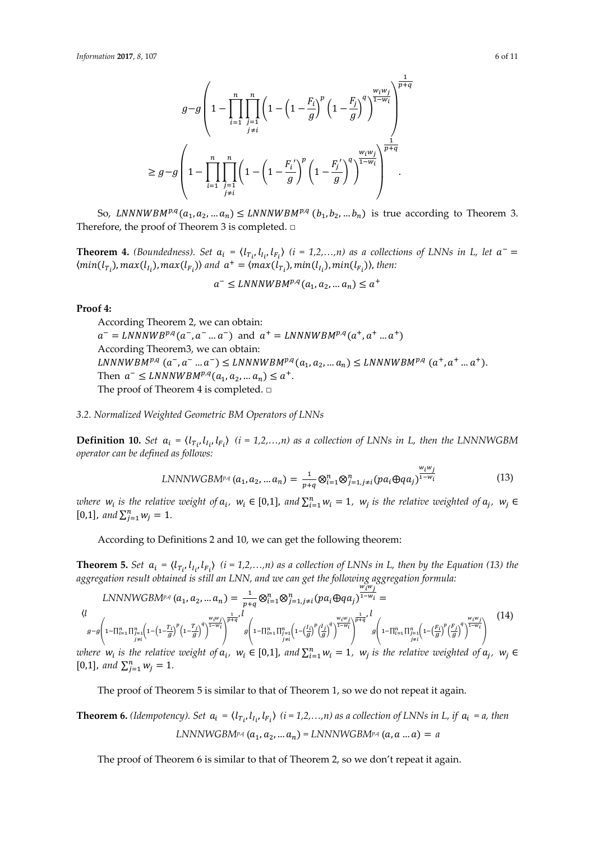$$
g-g\left(1-\prod_{i=1}^n\prod_{\substack{j=1 \ j\neq i}}^n\left(1-\left(1-\frac{F_i}{g}\right)^p\left(1-\frac{F_j}{g}\right)^q\right)^{\frac{w_iw_j}{1-w_i}}\right)^{\frac{1}{p+q}}
$$

$$
\geq g-g\left(1-\prod_{i=1}^n\prod_{\substack{j=1 \ j\neq i}}^n\left(1-\left(1-\frac{F_i'}{g}\right)^p\left(1-\frac{F_j'}{g}\right)^q\right)^{\frac{w_iw_j}{1-w_i}}\right)^{\frac{1}{p+q}}
$$

So, LNNNWBM<sup>p,q</sup>( $a_1, a_2, ... a_n$ )  $\leq$  LNNNWBM<sup>p,q</sup> ( $b_1, b_2, ... b_n$ ) is true according to Theorem 3. Therefore, the proof of Theorem 3 is completed. □

**Theorem 4.** *(Boundedness). Set*  $a_i = \langle l_{T_i}, l_{I_i}, l_{F_i} \rangle$  *(i = 1,2,...,n)* as a collections of LNNs in L, let  $a^ \langle min(l_{\tau_i}), max(l_{\tau_i}), max(l_{\tau_i}) \rangle$  and  $a^+ = \langle max(l_{\tau_i}), min(l_{\tau_i}), min(l_{\tau_i}) \rangle$ , then:

$$
a^- \leq LNNNWBM^{p,q}(a_1, a_2, \dots a_n) \leq a^+
$$

#### **Proof 4:**

According Theorem 2, we can obtain:  $a^- = LNNNWB^{p,q}(a^-, a^-, a^-),$  and  $a^+ = LNNNWB^{p,q}(a^+, a^+, a^+),$ According Theorem3, we can obtain:  $LNNNWBM^{p,q}$   $(a^-, a^-, a^+) \leq LNNNWBM^{p,q}(a_1, a_2, ... a_n) \leq LNNNWBM^{p,q}(a^+, a^+, a^+... a^+).$ Then  $a^- \leq LNNNWB M^{p,q}(a_1, a_2, ... a_n) \leq a^+$ . The proof of Theorem 4 is completed. □

*3.2. Normalized Weighted Geometric BM Operators of LNNs* 

**Definition 10.** Set  $a_i = \langle l_{T_i}, l_{I_i}, l_{F_i} \rangle$  (i = 1,2,...,n) as a collection of LNNs in L, then the LNNNWGBM *operator can be defined as follows:* 

$$
LNNNWGBM^{p,q}(a_1, a_2, ... a_n) = \frac{1}{p+q} \otimes_{i=1}^n \otimes_{j=1, j \neq i}^n (pa_i \oplus qq_j)^{\frac{w_i w_j}{1-w_i}}
$$
(13)

where  $w_i$  is the relative weight of  $a_i$ ,  $w_i \in [0,1]$ , and  $\sum_{i=1}^n w_i = 1$ ,  $w_j$  is the relative weighted of  $a_j$ ,  $w_j \in$ [0,1], and  $\sum_{j=1}^{n} w_j = 1$ .

According to Definitions 2 and 10, we can get the following theorem:

**Theorem 5.** Set  $a_i = \langle l_{T_i}, l_{I_i}, l_{F_i} \rangle$  (i = 1,2,...,n) as a collection of LNNs in L, then by the Equation (13) the *aggregation result obtained is still an LNN, and we can get the following aggregation formula:* 

$$
LNNNWGBM^{p,q}(a_1, a_2, ... a_n) = \frac{1}{p+q} \otimes_{i=1}^n \otimes_{j=1, j \neq i}^n (pa_i \oplus qa_j)^{\frac{w_i^w_j}{1-w_i}} =
$$
\n
$$
\langle l \otimes_{g=g} \left( 1 - \prod_{i=1}^n \prod_{j=1}^n \left( 1 - \left( 1 - \frac{T_i}{g} \right)^p \left( 1 - \frac{T_j}{g} \right)^q \right)^{\frac{w_i^w_j}{1-w_i}} \right)^{\frac{w_i^w_j}{p+q}} g \left( 1 - \prod_{i=1}^n \prod_{j=1}^n \left( 1 - \left( \frac{I_i}{g} \right)^p \left( \frac{I_j}{g} \right)^q \right)^{\frac{w_i^w_j}{1-w_i}} \right)^{\frac{w_i^w_j}{p+q}} g \left( 1 - \prod_{i=1}^n \prod_{j=1}^n \left( 1 - \left( \frac{F_i}{g} \right)^p \left( \frac{F_j}{g} \right)^q \right)^{\frac{w_i^w_j}{1-w_i}} \right)^{\frac{w_i^w_j}{p+q}} \right)
$$
\n
$$
= \sum_{j=1}^n \left( 1 - \frac{1}{n} \sum_{j=1}^n \left( 1 - \left( \frac{F_i}{g} \right)^p \left( \frac{F_j}{g} \right)^q \right)^{\frac{w_i^w_j}{1-w_i}} \right)^{\frac{w_i^w_j}{1-w_i}} \right)
$$
\n
$$
= \sum_{j=1}^n \left( 1 - \frac{1}{n} \sum_{j=1}^n \left( 1 - \left( \frac{F_i}{g} \right)^p \left( \frac{F_j}{g} \right)^q \right)^{\frac{w_i^w_j}{1-w_i}} \right)^{\frac{w_i^w_j}{1-w_i}} \right)
$$
\n
$$
(1 - \frac{1}{n} \sum_{j=1}^n \left( 1 - \frac{1}{n} \sum_{j=1}^n \left( 1 - \left( \frac{F_i}{g} \right)^p \left( \frac{F_j}{g} \right)^q \right)^{\frac{w_i^w_j}{1-w_i}} \right)^{\frac{w_i^w_j}{1-w_i}} \right)
$$
\n
$$
(1 - \frac{1}{n} \sum_{j=1}^n \left(
$$

where  $w_i$  is the relative weight of  $a_i$ ,  $w_i \in [0,1]$ , and  $\sum_{i=1}^n w_i = 1$ ,  $w_j$  is the relative weighted of  $a_j$ ,  $w_j \in$ [0,1], and  $\sum_{j=1}^{n} w_j = 1$ .

The proof of Theorem 5 is similar to that of Theorem 1, so we do not repeat it again.

**Theorem 6.** *(Idempotency). Set*  $a_i = \langle l_{T_i}, l_{I_i}, l_{F_i} \rangle$  *(i* = 1,2,...,n) as a collection of LNNs in L, if  $a_i = a$ , then *LNNNWGBMp,q*  $(a_1, a_2, ... a_n) =$  *LNNNWGBMp,q*  $(a, a ... a) = a$ 

The proof of Theorem 6 is similar to that of Theorem 2, so we don't repeat it again.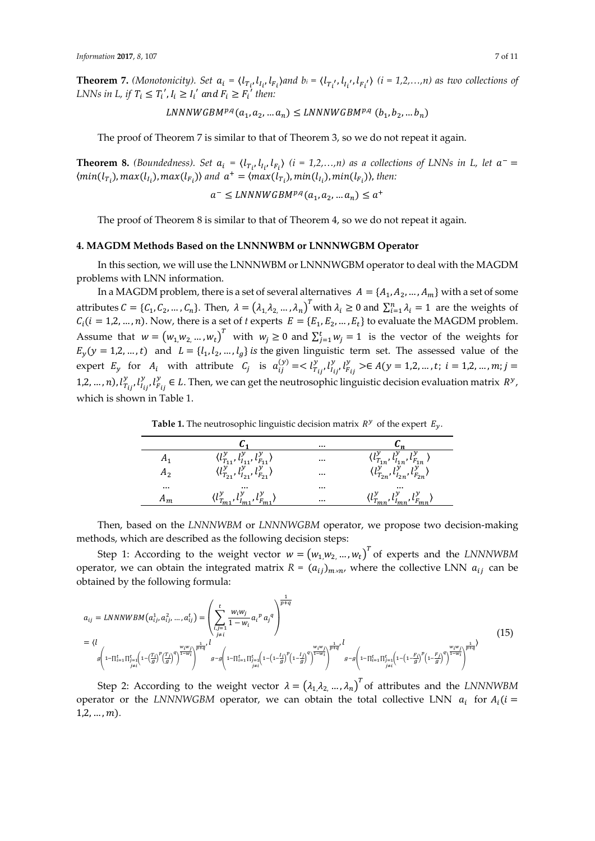**Theorem 7.** (Monotonicity). Set  $a_i = \langle l_{T_i}, l_{I_i}, l_{F_i} \rangle$  and  $b_i = \langle l_{T_i'}, l_{I_i'}, l_{F_i'} \rangle$  ( $i = 1, 2, ..., n$ ) as two collections of *LNNs in L, if*  $T_i \leq T'_i$ ,  $I_i \geq I'_i$  and  $F_i \geq F'_i$  then:

 $LNNNWGBM^{p,q}(a_1,a_2,...a_n) \leq LNNNWGBM^{p,q}(b_1,b_2,...b_n)$ 

The proof of Theorem 7 is similar to that of Theorem 3, so we do not repeat it again.

**Theorem 8.** *(Boundedness). Set*  $a_i = \langle l_{T_i}, l_{I_i}, l_{F_i} \rangle$  *(i = 1,2,...,n)* as a collections of LNNs in L, let  $a^ \langle min(l_{T_i}), max(l_{I_i}), max(l_{F_i}) \rangle$  and  $a^+ = \langle max(l_{T_i}), min(l_{I_i}), min(l_{F_i}) \rangle$ , then:

 $a^- \leq LNNNWGBM^{p,q}(a_1, a_2, ... a_n) \leq a^+$ 

The proof of Theorem 8 is similar to that of Theorem 4, so we do not repeat it again.

## **4. MAGDM Methods Based on the LNNNWBM or LNNNWGBM Operator**

In this section, we will use the LNNNWBM or LNNNWGBM operator to deal with the MAGDM problems with LNN information.

In a MAGDM problem, there is a set of several alternatives  $A = \{A_1, A_2, ..., A_m\}$  with a set of some attributes  $C = \{C_1, C_2, ..., C_n\}$ . Then,  $\lambda = (\lambda_1, \lambda_2, ..., \lambda_n)^T$  with  $\lambda_i \geq 0$  and  $\sum_{i=1}^n \lambda_i = 1$  are the weights of  $C_i$ ( $i = 1, 2, ..., n$ ). Now, there is a set of  $t$  experts  $E = \{E_1, E_2, ..., E_t\}$  to evaluate the MAGDM problem. Assume that  $w = (w_1, w_2, ..., w_t)^T$  with  $w_j \ge 0$  and  $\sum_{j=1}^t w_j = 1$  is the vector of the weights for  $E_y(y = 1,2,..., t)$  and  $L = \{l_1, l_2,..., l_g\}$  is the given linguistic term set. The assessed value of the expert  $E_y$  for  $A_i$  with attribute  $C_j$  is  $a_{ij}^{(y)} = \langle l_{T_{ij}}^y, l_{T_{ij}}^y \rangle \in A(y = 1, 2, ..., t; i = 1, 2, ..., m; j = 1, 2, ..., m)$ 1,2, ..., *n*),  $l_{T_{ij}}^y$ ,  $l_{i_{ij}}^y$ ,  $l_{F_{ij}}^y \in L$ . Then, we can get the neutrosophic linguistic decision evaluation matrix  $R^y$ , which is shown in Table 1.

**Table 1.** The neutrosophic linguistic decision matrix  $R^y$  of the expert  $E_y$ .

|          |                                                            | $\cdots$ |                                                                  |
|----------|------------------------------------------------------------|----------|------------------------------------------------------------------|
|          | $(l_{T_{i}}^y, l_{L_i}^y, l_F^y)$                          | $\cdots$ | $\langle l_{T_{1n}}^{y}, l_{l_{1n}}^{y}, l_{F_{1n}}^{y} \rangle$ |
| H2       | $\langle l_{T_{21}}^y, l_{I_{21}}^y, l_{F_{21}}^y \rangle$ | $\cdots$ | $\langle l^{y}_{T_{2n}}, l^{y}_{l_{2n}}, l^{y}_{F_{2n}} \rangle$ |
| $\cdots$ | $\cdots$                                                   | $\cdots$ | $\cdots$                                                         |
|          | $(l^y_{\tau}, l^y_{\tau}, l^y_{\tau})$                     | $\cdots$ | $\langle l^y_{\tau} , l^y_{\tau} , l^y_{\tau} \rangle$           |

Then, based on the *LNNNWBM* or *LNNNWGBM* operator, we propose two decision-making methods, which are described as the following decision steps:

Step 1: According to the weight vector  $w = (w_1, w_2, ..., w_t)^T$  of experts and the *LNNNWBM* operator, we can obtain the integrated matrix  $R = (a_{ij})_{m \times n}$ , where the collective LNN  $a_{ij}$  can be obtained by the following formula:

$$
a_{ij} = LNNNWBM(a_{ij}^1, a_{ij}^2, ..., a_{ij}^t) = \left(\sum_{\substack{i,j=1 \ j \neq i}}^t \frac{w_i w_j}{1 - w_i} a_i^p a_j^q\right)^{\frac{1}{p+q}}
$$
\n
$$
= \langle l \left(1 - \prod_{i=1}^t \prod_{\substack{j=1 \ j \neq i}}^t \left(1 - \left(\frac{T_i}{g}\right)^p \left(\frac{T_j}{g}\right)^q\right)^{\frac{1}{p+q}}, \int_{g-g}^u \left(1 - \prod_{i=1}^t \prod_{\substack{j=1 \ j \neq i}}^t \left(1 - \left(1 - \frac{I_i}{g}\right)^p \left(1 - \frac{I_j}{g}\right)^q\right)^{\frac{1}{1 - w_i}}\right)^{\frac{1}{p+q}}, \int_{g-g}^u \left(1 - \prod_{j=1}^t \prod_{\substack{j=1 \ j \neq i}}^t \left(1 - \left(1 - \frac{F_i}{g}\right)^p \left(1 - \frac{F_j}{g}\right)^q\right)^{\frac{1}{1 - w_i}}\right)^{\frac{1}{p+q}}\right) \tag{15}
$$

Step 2: According to the weight vector  $\lambda = (\lambda_1, \lambda_2, ..., \lambda_n)^T$  of attributes and the *LNNNWBM* operator or the *LNNNWGBM* operator, we can obtain the total collective LNN  $a_i$  for  $A_i$  ( $i =$  $1, 2, ..., m$ ).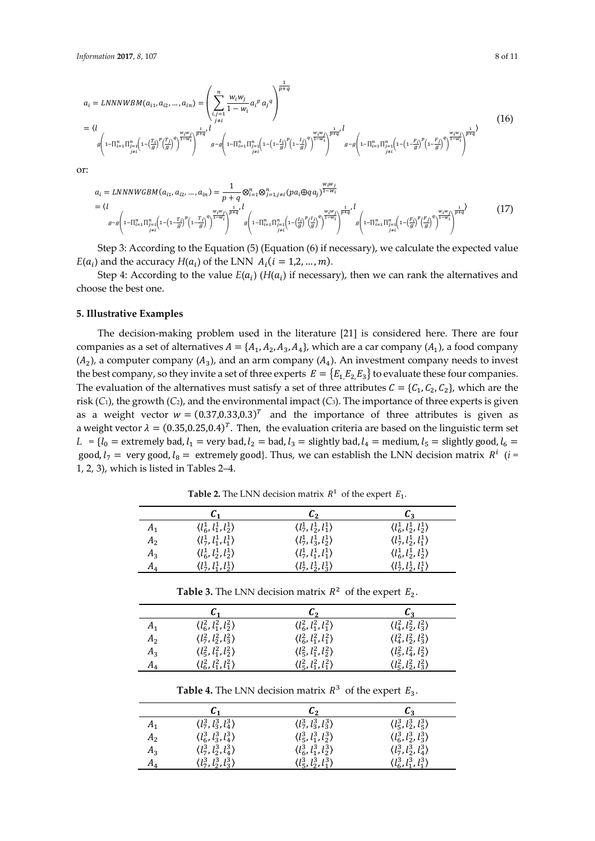$$
a_{i} = LNNNWBM(a_{i1}, a_{i2}, ..., a_{in}) = \left(\sum_{\substack{i,j=1 \ j \neq i}}^{n} \frac{w_{i}w_{j}}{1 - w_{i}} a_{i}^{p} a_{j}^{q}\right)^{\frac{p+q}{p+q}}
$$
\n
$$
= \langle l \rangle
$$
\n
$$
g\left(1 - \prod_{i=1}^{n} \prod_{\substack{j=1 \ j \neq i}}^{n} \left(1 - \left(\frac{T_{i}}{g}\right)^{p} \left(\frac{T_{j}}{g}\right)^{q}\right)^{\frac{1}{1 - w_{i}}}}\right)^{\frac{p}{p+q}}, g - g\left(1 - \prod_{i=1}^{n} \prod_{\substack{j=1 \ j \neq i}}^{n} \left(1 - \left(1 - \frac{I_{j}}{g}\right)^{p} \left(1 - \frac{I_{j}}{g}\right)^{q}\right)^{\frac{1}{1 - w_{i}}}}\right)^{\frac{w_{i}w_{j}}{p+q}}, g - g\left(1 - \prod_{i=1}^{n} \prod_{\substack{j=1 \ j \neq i}}^{n} \left(1 - \left(1 - \frac{F_{i}}{g}\right)^{p} \left(1 - \frac{F_{j}}{g}\right)^{q}\right)^{\frac{w_{i}w_{j}}{1 - w_{i}}}}\right)^{\frac{1}{p+q}}
$$
\n
$$
(16)
$$

 $\mathbf{1}$ 

or:

$$
a_{i} = LNNNWGBM(a_{i1}, a_{i2}, ..., a_{in}) = \frac{1}{p+q} \otimes_{i=1}^{n} \otimes_{j=1, j \neq i}^{n} (pa_{i} \oplus qa_{j})^{\frac{W_{i}W_{j}}{1-W_{i}}}
$$
\n
$$
= \langle l \qquad \qquad g-g \left(1 - \prod_{i=1}^{n} \prod_{j=1}^{n} \left(1 - \left(1 - \frac{T_{i}}{g}\right)^{p} \left(1 - \frac{T_{j}}{g}\right)^{q}\right)^{\frac{1}{1-W_{i}}} \right)^{\frac{1}{p+q}} g \left(1 - \prod_{i=1}^{n} \prod_{j=1}^{n} \left(1 - \left(\frac{I_{i}}{g}\right)^{p} \left(\frac{J}{g}\right)^{q}\right)^{\frac{1}{1-W_{i}}}\right)^{\frac{1}{p+q}}, \qquad g \left(1 - \prod_{i=1}^{n} \prod_{j=1}^{n} \left(1 - \left(\frac{I_{i}}{g}\right)^{p} \left(\frac{J}{g}\right)^{q}\right)^{\frac{1}{1-W_{i}}}\right)^{\frac{1}{p+q}} g \left(1 - \prod_{i=1}^{n} \prod_{j=1}^{n} \left(1 - \left(\frac{F_{i}}{g}\right)^{p} \left(\frac{F_{j}}{g}\right)^{q}\right)^{\frac{1}{1-W_{i}}}\right)^{\frac{1}{p+q}} \right) \tag{17}
$$

Step 3: According to the Equation (5) (Equation (6) if necessary), we calculate the expected value  $E(a_i)$  and the accuracy  $H(a_i)$  of the LNN  $A_i$  ( $i = 1, 2, ..., m$ ).

Step 4: According to the value  $E(a_i)$  ( $H(a_i)$ ) if necessary), then we can rank the alternatives and choose the best one.

# **5. Illustrative Examples**

The decision-making problem used in the literature [21] is considered here. There are four companies as a set of alternatives  $A = \{A_1, A_2, A_3, A_4\}$ , which are a car company  $(A_1)$ , a food company  $(A_2)$ , a computer company  $(A_3)$ , and an arm company  $(A_4)$ . An investment company needs to invest the best company, so they invite a set of three experts  $E = \{E_1, E_2, E_3\}$  to evaluate these four companies. The evaluation of the alternatives must satisfy a set of three attributes  $C = \{C_1, C_2, C_2\}$ , which are the risk (*C*1), the growth (*C*2), and the environmental impact (*C*3). The importance of three experts is given as a weight vector  $w = (0.37,0.33,0.3)^T$  and the importance of three attributes is given as a weight vector  $\lambda = (0.35,0.25,0.4)^T$ . Then, the evaluation criteria are based on the linguistic term set  $L = \{l_0 =$  extremely bad,  $l_1 =$  very bad,  $l_2 =$  bad,  $l_3 =$  slightly bad,  $l_4 =$  medium,  $l_5 =$  slightly good,  $l_6 =$ good,  $l_7$  = very good,  $l_8$  = extremely good}. Thus, we can establish the LNN decision matrix  $R^i$  (*i* = 1, 2, 3), which is listed in Tables 2–4.

 $c_1$   $c_2$   $c_3$  $A_1$   $\langle l_6^1, l_1^1, l_2^1 \rangle$  $\langle l_7^1, l_2^1, l_1^1 \rangle$  $\langle l_6^1, l_2^1, l_2^1 \rangle$  $A_2$   $\langle l_7^1, l_1^1, l_1^1 \rangle$  $\langle l_7^1, l_3^1, l_2^1 \rangle$  $\langle l_7^1, l_2^1, l_1^1 \rangle$  $A_3$   $\langle l_6^1, l_2^1, l_2^1 \rangle$  $\langle l_7^1, l_1^1, l_1^1 \rangle$  $\langle l_6^1, l_2^1, l_2^1 \rangle$  $A_4$   $\langle l_7^1, l_1^1, l_2^1 \rangle$  $\langle l_7^1, l_2^1, l_3^1 \rangle$  $\langle l_7^1, l_2^1, l_1^1 \rangle$ 

**Table 2.** The LNN decision matrix  $R^1$  of the expert  $E_1$ .

|                |                                       | <b>Table 3.</b> The LNN decision matrix $R^2$ of the expert $E_2$ . |                                       |
|----------------|---------------------------------------|---------------------------------------------------------------------|---------------------------------------|
|                |                                       | C,                                                                  | $\mathcal{L}_2$                       |
| $A_{1}$        | $\langle l_6^2, l_1^2, l_2^2 \rangle$ | $\langle l_6^2, l_1^2, l_1^2 \rangle$                               | $\langle l_4^2, l_2^2, l_3^2 \rangle$ |
| A <sub>2</sub> | $\langle l_7^2, l_2^2, l_3^2 \rangle$ | $\langle l_6^2, l_1^2, l_1^2 \rangle$                               | $\langle l_4^2, l_2^2, l_3^2 \rangle$ |
| $A_3$          | $\langle l_5^2, l_1^2, l_2^2 \rangle$ | $\langle l_5^2, l_1^2, l_2^2 \rangle$                               | $\langle l_5^2, l_4^2, l_2^2 \rangle$ |
| A,             | $\langle l_6^2, l_1^2, l_1^2 \rangle$ | $\langle l_5^2, l_1^2, l_1^2 \rangle$                               | $\langle l_5^2, l_2^2, l_3^2 \rangle$ |

**Table 4.** The LNN decision matrix  $R^3$  of the expert  $E_3$ .

|         | C1                                    | U2                                    | C2                                    |
|---------|---------------------------------------|---------------------------------------|---------------------------------------|
|         | $\langle l_7^3, l_3^3, l_4^3 \rangle$ | $\langle l_7^3, l_3^3, l_3^3 \rangle$ | $\langle l_5^3, l_2^3, l_5^3 \rangle$ |
| $A_{2}$ | $\langle l_6^3, l_3^3, l_4^3 \rangle$ | $\langle l_5^3, l_1^3, l_2^3 \rangle$ | $\langle l_6^3, l_2^3, l_3^3 \rangle$ |
| $A_3$   | $\langle l_7^3, l_2^3, l_4^3 \rangle$ | $\langle l_6^3, l_1^3, l_2^3 \rangle$ | $\langle l_7^3, l_2^3, l_4^3 \rangle$ |
| $A_4$   | $(l_7^3, l_2^3, l_3^3)$               | $(l_5^3, l_2^3, l_1^3)$               | $\langle l_6^3, l_1^3, l_1^3 \rangle$ |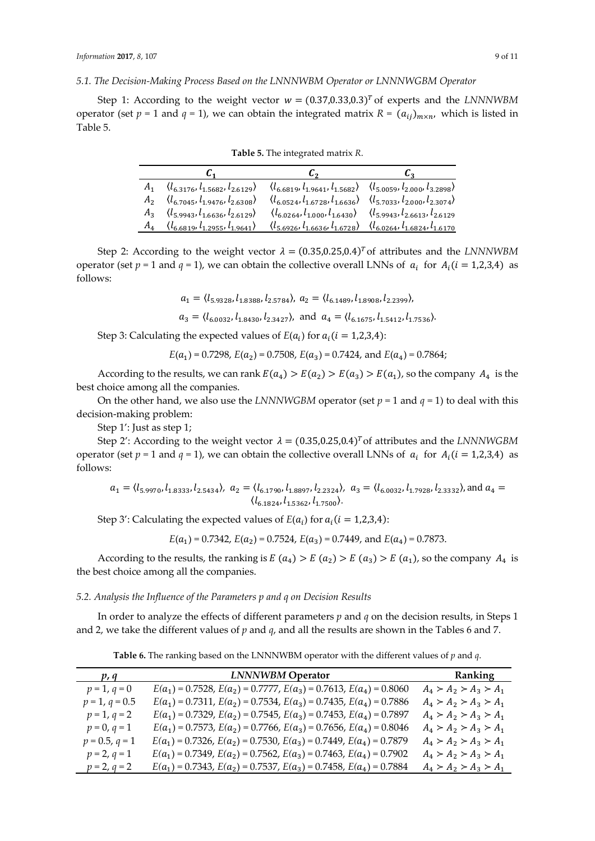# *5.1. The Decision-Making Process Based on the LNNNWBM Operator or LNNNWGBM Operator*

Step 1: According to the weight vector  $w = (0.37,0.33,0.3)^T$  of experts and the *LNNNWBM* operator (set  $p = 1$  and  $q = 1$ ), we can obtain the integrated matrix  $R = (a_{ij})_{m \times n}$ , which is listed in Table 5.

| C1                                                                                                                                                                              | Lэ.                                                                                                      | $\mathbf{L}_{3}$ |
|---------------------------------------------------------------------------------------------------------------------------------------------------------------------------------|----------------------------------------------------------------------------------------------------------|------------------|
| $A_1 \quad \langle l_{6,3176}, l_{1,5682}, l_{2,6129} \rangle \quad \langle l_{6,6819}, l_{1,9641}, l_{1,5682} \rangle \quad \langle l_{5,0059}, l_{2,000}, l_{3,2898} \rangle$ |                                                                                                          |                  |
| $A_2 \langle l_{6.7045}, l_{1.9476}, l_{2.6308} \rangle$                                                                                                                        | $\langle l_{6.0524}, l_{1.6728}, l_{1.6636} \rangle$ $\langle l_{5.7033}, l_{2.000}, l_{2.3074} \rangle$ |                  |
| $A_3 \quad \langle l_{5,9943}, l_{1,6636}, l_{2,6129} \rangle$                                                                                                                  | $(l_{6.0264}, l_{1.000}, l_{1.6430})$ $(l_{5.9943}, l_{2.6613}, l_{2.6129})$                             |                  |
| $A_4 \quad \langle l_{6.6819}, l_{1.2955}, l_{1.9641} \rangle$                                                                                                                  | $(l_{5.6926}, l_{1.6636}, l_{1.6728})$ $(l_{6.0264}, l_{1.6824}, l_{1.6170})$                            |                  |

**Table 5.** The integrated matrix *R*.

Step 2: According to the weight vector  $\lambda = (0.35,0.25,0.4)^T$  of attributes and the *LNNNWBM* operator (set  $p = 1$  and  $q = 1$ ), we can obtain the collective overall LNNs of  $a_i$  for  $A_i$  ( $i = 1,2,3,4$ ) as follows:

$$
a_1 = \langle l_{5.9328}, l_{1.8388}, l_{2.5784} \rangle, a_2 = \langle l_{6.1489}, l_{1.8908}, l_{2.2399} \rangle,
$$

 $a_3 = \langle l_{6.0032}, l_{1.8430}, l_{2.3427} \rangle$ , and  $a_4 = \langle l_{6.1675}, l_{1.5412}, l_{1.7536} \rangle$ .

Step 3: Calculating the expected values of  $E(a_i)$  for  $a_i$  ( $i = 1,2,3,4$ ):

$$
E(a_1) = 0.7298
$$
,  $E(a_2) = 0.7508$ ,  $E(a_3) = 0.7424$ , and  $E(a_4) = 0.7864$ ;

According to the results, we can rank  $E(a_4) > E(a_2) > E(a_3) > E(a_1)$ , so the company  $A_4$  is the best choice among all the companies.

On the other hand, we also use the *LNNNWGBM* operator (set  $p = 1$  and  $q = 1$ ) to deal with this decision-making problem:

Step 1': Just as step 1;

Step 2': According to the weight vector  $\lambda = (0.35,0.25,0.4)^T$  of attributes and the *LNNNWGBM* operator (set  $p = 1$  and  $q = 1$ ), we can obtain the collective overall LNNs of  $a_i$  for  $A_i$  ( $i = 1,2,3,4$ ) as follows:

$$
a_1 = \langle l_{5,9970}, l_{1,8333}, l_{2,5434} \rangle
$$
,  $a_2 = \langle l_{6,1790}, l_{1,8897}, l_{2,2324} \rangle$ ,  $a_3 = \langle l_{6,0032}, l_{1,7928}, l_{2,3332} \rangle$ , and  $a_4 = \langle l_{6,1824}, l_{1,5362}, l_{1,7500} \rangle$ .

Step 3': Calculating the expected values of  $E(a_i)$  for  $a_i$  ( $i = 1,2,3,4$ ):

$$
E(a_1) = 0.7342
$$
,  $E(a_2) = 0.7524$ ,  $E(a_3) = 0.7449$ , and  $E(a_4) = 0.7873$ .

According to the results, the ranking is  $E(a_4) > E(a_2) > E(a_3) > E(a_1)$ , so the company  $A_4$  is the best choice among all the companies.

## *5.2. Analysis the Influence of the Parameters p and q on Decision Results*

In order to analyze the effects of different parameters *p* and *q* on the decision results, in Steps 1 and 2, we take the different values of *p* and *q*, and all the results are shown in the Tables 6 and 7.

**Table 6.** The ranking based on the LNNNWBM operator with the different values of *p* and *q*.

| p, q             | <b>LNNNWBM Operator</b>                                                       | Ranking                 |
|------------------|-------------------------------------------------------------------------------|-------------------------|
| $p = 1, q = 0$   | $E(a_1) = 0.7528$ , $E(a_2) = 0.7777$ , $E(a_3) = 0.7613$ , $E(a_4) = 0.8060$ | $A_4 > A_2 > A_3 > A_1$ |
| $p = 1, q = 0.5$ | $E(a_1) = 0.7311, E(a_2) = 0.7534, E(a_3) = 0.7435, E(a_4) = 0.7886$          | $A_4 > A_2 > A_3 > A_1$ |
| $p = 1, q = 2$   | $E(a_1) = 0.7329$ , $E(a_2) = 0.7545$ , $E(a_3) = 0.7453$ , $E(a_4) = 0.7897$ | $A_4 > A_2 > A_3 > A_1$ |
| $p = 0, q = 1$   | $E(a_1) = 0.7573$ , $E(a_2) = 0.7766$ , $E(a_3) = 0.7656$ , $E(a_4) = 0.8046$ | $A_4 > A_2 > A_3 > A_1$ |
| $p = 0.5, q = 1$ | $E(a_1) = 0.7326$ , $E(a_2) = 0.7530$ , $E(a_3) = 0.7449$ , $E(a_4) = 0.7879$ | $A_4 > A_2 > A_3 > A_1$ |
| $p = 2, q = 1$   | $E(a_1) = 0.7349$ , $E(a_2) = 0.7562$ , $E(a_3) = 0.7463$ , $E(a_4) = 0.7902$ | $A_4 > A_2 > A_3 > A_1$ |
| $p = 2, q = 2$   | $E(a_1) = 0.7343, E(a_2) = 0.7537, E(a_3) = 0.7458, E(a_4) = 0.7884$          | $A_4 > A_2 > A_3 > A_1$ |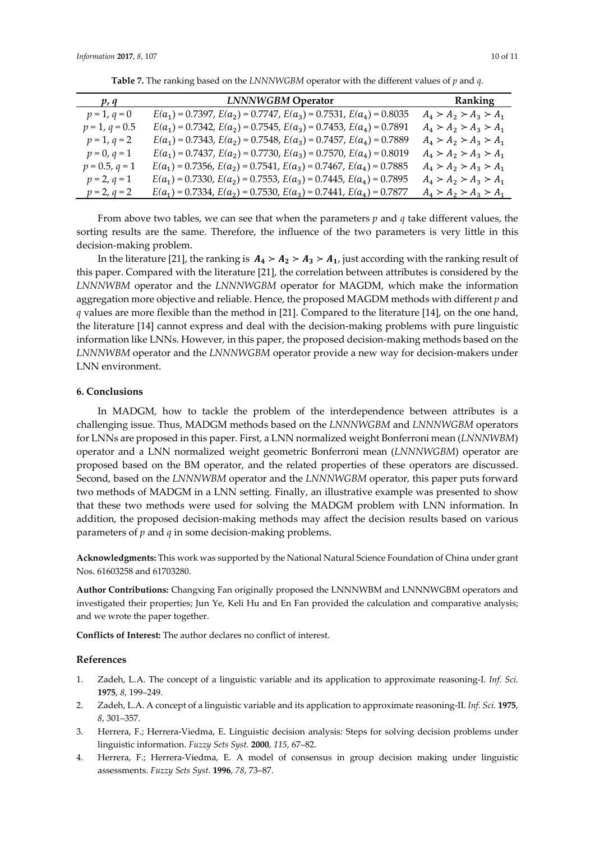|  |  | 10 Q |  |
|--|--|------|--|
|  |  |      |  |
|  |  |      |  |
|  |  |      |  |

| p, q             | <b>LNNNWGBM Operator</b>                                                      | Ranking                 |
|------------------|-------------------------------------------------------------------------------|-------------------------|
| $p = 1, q = 0$   | $E(a_1) = 0.7397$ , $E(a_2) = 0.7747$ , $E(a_3) = 0.7531$ , $E(a_4) = 0.8035$ | $A_4 > A_2 > A_3 > A_1$ |
| $p = 1, q = 0.5$ | $E(a_1) = 0.7342$ , $E(a_2) = 0.7545$ , $E(a_3) = 0.7453$ , $E(a_4) = 0.7891$ | $A_4 > A_2 > A_3 > A_1$ |
| $p = 1, q = 2$   | $E(a_1) = 0.7343$ , $E(a_2) = 0.7548$ , $E(a_3) = 0.7457$ , $E(a_4) = 0.7889$ | $A_4 > A_2 > A_3 > A_1$ |
| $p = 0, q = 1$   | $E(a_1) = 0.7437$ , $E(a_2) = 0.7730$ , $E(a_3) = 0.7570$ , $E(a_4) = 0.8019$ | $A_4 > A_2 > A_3 > A_1$ |
| $p = 0.5, q = 1$ | $E(a_1) = 0.7356$ , $E(a_2) = 0.7541$ , $E(a_3) = 0.7467$ , $E(a_4) = 0.7885$ | $A_4 > A_2 > A_3 > A_1$ |
| $p = 2, q = 1$   | $E(a_1) = 0.7330$ , $E(a_2) = 0.7553$ , $E(a_3) = 0.7445$ , $E(a_4) = 0.7895$ | $A_4 > A_2 > A_3 > A_1$ |
| $p = 2, q = 2$   | $E(a_1) = 0.7334$ , $E(a_2) = 0.7530$ , $E(a_3) = 0.7441$ , $E(a_4) = 0.7877$ | $A_4 > A_2 > A_3 > A_1$ |

**Table 7.** The ranking based on the *LNNNWGBM* operator with the different values of *p* and *q*.

From above two tables, we can see that when the parameters *p* and *q* take different values, the sorting results are the same. Therefore, the influence of the two parameters is very little in this decision-making problem.

In the literature [21], the ranking is  $A_4 > A_2 > A_3 > A_1$ , just according with the ranking result of this paper. Compared with the literature [21], the correlation between attributes is considered by the *LNNNWBM* operator and the *LNNNWGBM* operator for MAGDM, which make the information aggregation more objective and reliable. Hence, the proposed MAGDM methods with different *p* and *q* values are more flexible than the method in [21]. Compared to the literature [14], on the one hand, the literature [14] cannot express and deal with the decision-making problems with pure linguistic information like LNNs. However, in this paper, the proposed decision-making methods based on the *LNNNWBM* operator and the *LNNNWGBM* operator provide a new way for decision-makers under LNN environment.

# **6. Conclusions**

In MADGM, how to tackle the problem of the interdependence between attributes is a challenging issue. Thus, MADGM methods based on the *LNNNWGBM* and *LNNNWGBM* operators for LNNs are proposed in this paper. First, a LNN normalized weight Bonferroni mean (*LNNNWBM*) operator and a LNN normalized weight geometric Bonferroni mean (*LNNNWGBM*) operator are proposed based on the BM operator, and the related properties of these operators are discussed. Second, based on the *LNNNWBM* operator and the *LNNNWGBM* operator, this paper puts forward two methods of MADGM in a LNN setting. Finally, an illustrative example was presented to show that these two methods were used for solving the MADGM problem with LNN information. In addition, the proposed decision-making methods may affect the decision results based on various parameters of *p* and *q* in some decision-making problems.

**Acknowledgments:** This work was supported by the National Natural Science Foundation of China under grant Nos. 61603258 and 61703280.

**Author Contributions:** Changxing Fan originally proposed the LNNNWBM and LNNNWGBM operators and investigated their properties; Jun Ye, Keli Hu and En Fan provided the calculation and comparative analysis; and we wrote the paper together.

**Conflicts of Interest:** The author declares no conflict of interest.

# **References**

- 1. Zadeh, L.A. The concept of a linguistic variable and its application to approximate reasoning-I. *Inf. Sci.* **1975**, *8*, 199–249.
- 2. Zadeh, L.A. A concept of a linguistic variable and its application to approximate reasoning-II. *Inf. Sci.* **1975**, *8*, 301–357.
- 3. Herrera, F.; Herrera-Viedma, E. Linguistic decision analysis: Steps for solving decision problems under linguistic information. *Fuzzy Sets Syst.* **2000**, *115*, 67–82.
- 4. Herrera, F.; Herrera-Viedma, E. A model of consensus in group decision making under linguistic assessments. *Fuzzy Sets Syst.* **1996**, *78*, 73–87.